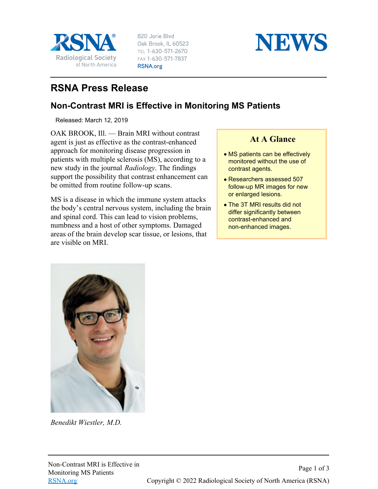

820 Jorie Blvd Oak Brook, IL 60523 TEL 1-630-571-2670 FAX 1-630-571-7837 RSNA.org



## **RSNA Press Release**

## **Non-Contrast MRI is Effective in Monitoring MS Patients**

Released: March 12, 2019

OAK BROOK, Ill. — Brain MRI without contrast agent is just as effective as the contrast-enhanced approach for monitoring disease progression in patients with multiple sclerosis (MS), according to a new study in the journal *Radiology*. The findings support the possibility that contrast enhancement can be omitted from routine follow-up scans.

MS is a disease in which the immune system attacks the body's central nervous system, including the brain and spinal cord. This can lead to vision problems, numbness and a host of other symptoms. Damaged areas of the brain develop scar tissue, or lesions, that are visible on MRI.

## **At A Glance**

- MS patients can be effectively monitored without the use of contrast agents.
- Researchers assessed 507 follow-up MR images for new or enlarged lesions.
- The 3T MRI results did not differ significantly between contrast-enhanced and non-enhanced images.



*Benedikt Wiestler, M.D.*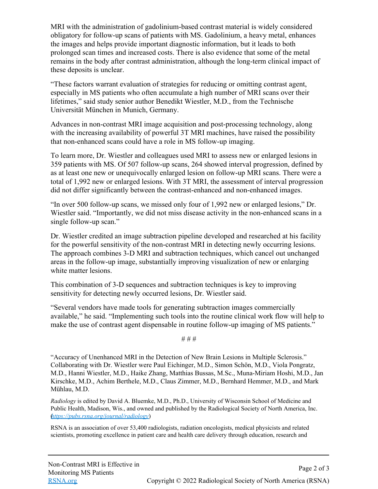MRI with the administration of gadolinium-based contrast material is widely considered obligatory for follow-up scans of patients with MS. Gadolinium, a heavy metal, enhances the images and helps provide important diagnostic information, but it leads to both prolonged scan times and increased costs. There is also evidence that some of the metal remains in the body after contrast administration, although the long-term clinical impact of these deposits is unclear.

"These factors warrant evaluation of strategies for reducing or omitting contrast agent, especially in MS patients who often accumulate a high number of MRI scans over their lifetimes," said study senior author Benedikt Wiestler, M.D., from the Technische Universität München in Munich, Germany.

Advances in non-contrast MRI image acquisition and post-processing technology, along with the increasing availability of powerful 3T MRI machines, have raised the possibility that non-enhanced scans could have a role in MS follow-up imaging.

To learn more, Dr. Wiestler and colleagues used MRI to assess new or enlarged lesions in 359 patients with MS. Of 507 follow-up scans, 264 showed interval progression, defined by as at least one new or unequivocally enlarged lesion on follow-up MRI scans. There were a total of 1,992 new or enlarged lesions. With 3T MRI, the assessment of interval progression did not differ significantly between the contrast-enhanced and non-enhanced images.

"In over 500 follow-up scans, we missed only four of 1,992 new or enlarged lesions," Dr. Wiestler said. "Importantly, we did not miss disease activity in the non-enhanced scans in a single follow-up scan."

Dr. Wiestler credited an image subtraction pipeline developed and researched at his facility for the powerful sensitivity of the non-contrast MRI in detecting newly occurring lesions. The approach combines 3-D MRI and subtraction techniques, which cancel out unchanged areas in the follow-up image, substantially improving visualization of new or enlarging white matter lesions.

This combination of 3-D sequences and subtraction techniques is key to improving sensitivity for detecting newly occurred lesions, Dr. Wiestler said.

"Several vendors have made tools for generating subtraction images commercially available," he said. "Implementing such tools into the routine clinical work flow will help to make the use of contrast agent dispensable in routine follow-up imaging of MS patients."

# # #

"Accuracy of Unenhanced MRI in the Detection of New Brain Lesions in Multiple Sclerosis." Collaborating with Dr. Wiestler were Paul Eichinger, M.D., Simon Schön, M.D., Viola Pongratz, M.D., Hanni Wiestler, M.D., Haike Zhang, Matthias Bussas, M.Sc., Muna-Miriam Hoshi, M.D., Jan Kirschke, M.D., Achim Berthele, M.D., Claus Zimmer, M.D., Bernhard Hemmer, M.D., and Mark Mühlau, M.D.

*Radiology* is edited by David A. Bluemke, M.D., Ph.D., University of Wisconsin School of Medicine and Public Health, Madison, Wis., and owned and published by the Radiological Society of North America, Inc. (*<https://pubs.rsna.org/journal/radiology>*)

RSNA is an association of over 53,400 radiologists, radiation oncologists, medical physicists and related scientists, promoting excellence in patient care and health care delivery through education, research and